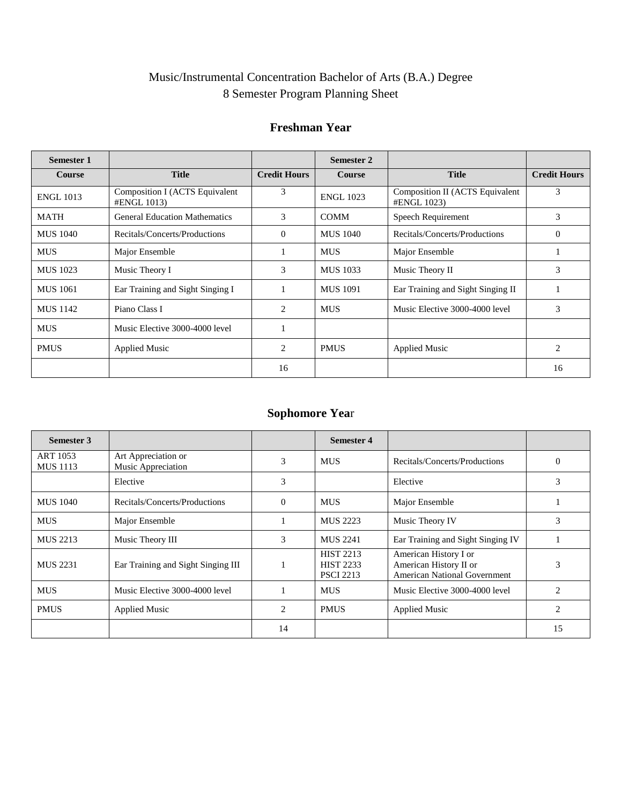# Music/Instrumental Concentration Bachelor of Arts (B.A.) Degree 8 Semester Program Planning Sheet

#### **Freshman Year**

| <b>Semester 1</b> |                                               |                     | Semester 2       |                                                |                     |
|-------------------|-----------------------------------------------|---------------------|------------------|------------------------------------------------|---------------------|
| <b>Course</b>     | <b>Title</b>                                  | <b>Credit Hours</b> | <b>Course</b>    | <b>Title</b>                                   | <b>Credit Hours</b> |
| <b>ENGL 1013</b>  | Composition I (ACTS Equivalent<br>#ENGL 1013) | 3                   | <b>ENGL 1023</b> | Composition II (ACTS Equivalent<br>#ENGL 1023) | 3                   |
| <b>MATH</b>       | <b>General Education Mathematics</b>          | 3                   | <b>COMM</b>      | Speech Requirement                             | 3                   |
| <b>MUS 1040</b>   | Recitals/Concerts/Productions                 | $\Omega$            | <b>MUS</b> 1040  | Recitals/Concerts/Productions                  | $\theta$            |
| <b>MUS</b>        | Major Ensemble                                |                     | <b>MUS</b>       | Major Ensemble                                 |                     |
| MUS 1023          | Music Theory I                                | 3                   | <b>MUS</b> 1033  | Music Theory II                                | 3                   |
| <b>MUS</b> 1061   | Ear Training and Sight Singing I              |                     | <b>MUS</b> 1091  | Ear Training and Sight Singing II              |                     |
| MUS 1142          | Piano Class I                                 | 2                   | <b>MUS</b>       | Music Elective 3000-4000 level                 | 3                   |
| <b>MUS</b>        | Music Elective 3000-4000 level                |                     |                  |                                                |                     |
| <b>PMUS</b>       | <b>Applied Music</b>                          | 2                   | <b>PMUS</b>      | <b>Applied Music</b>                           | $\overline{2}$      |
|                   |                                               | 16                  |                  |                                                | 16                  |

## **Sophomore Yea**r

| Semester 3                         |                                           |          | <b>Semester 4</b>                                        |                                                                                        |                          |
|------------------------------------|-------------------------------------------|----------|----------------------------------------------------------|----------------------------------------------------------------------------------------|--------------------------|
| <b>ART 1053</b><br><b>MUS</b> 1113 | Art Appreciation or<br>Music Appreciation | 3        | <b>MUS</b>                                               | Recitals/Concerts/Productions                                                          | $\Omega$                 |
|                                    | Elective                                  | 3        |                                                          | Elective                                                                               | 3                        |
| <b>MUS</b> 1040                    | Recitals/Concerts/Productions             | $\Omega$ | <b>MUS</b>                                               | Major Ensemble                                                                         |                          |
| <b>MUS</b>                         | Major Ensemble                            |          | <b>MUS 2223</b>                                          | Music Theory IV                                                                        | 3                        |
| <b>MUS 2213</b>                    | Music Theory III                          | 3        | <b>MUS 2241</b>                                          | Ear Training and Sight Singing IV                                                      |                          |
| <b>MUS 2231</b>                    | Ear Training and Sight Singing III        |          | <b>HIST 2213</b><br><b>HIST 2233</b><br><b>PSCI 2213</b> | American History I or<br>American History II or<br><b>American National Government</b> | 3                        |
| <b>MUS</b>                         | Music Elective 3000-4000 level            |          | <b>MUS</b>                                               | Music Elective 3000-4000 level                                                         | $\mathfrak{D}_{1}^{(1)}$ |
| <b>PMUS</b>                        | <b>Applied Music</b>                      | 2        | <b>PMUS</b>                                              | <b>Applied Music</b>                                                                   | 2                        |
|                                    |                                           | 14       |                                                          |                                                                                        | 15                       |